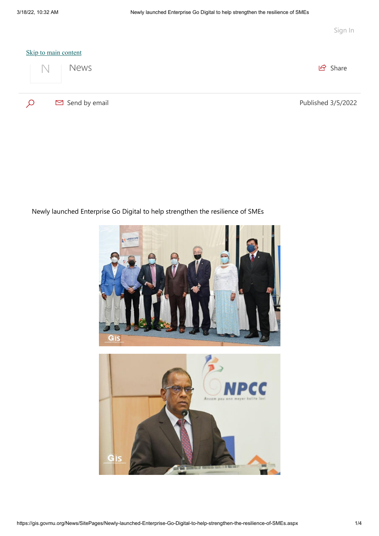

Newly launched Enterprise Go Digital to help strengthen the resilience of SMEs

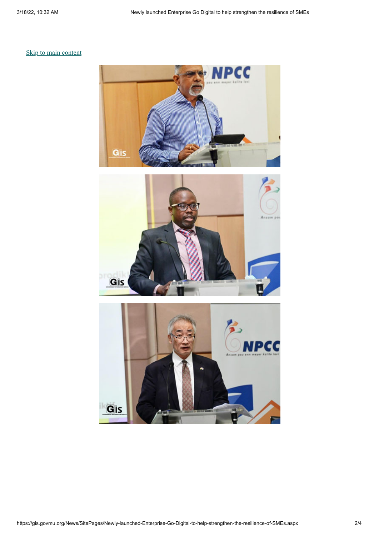## [Skip to main content](javascript:;)





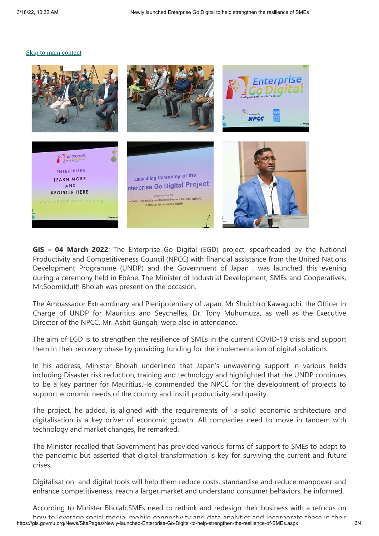## [Skip to main content](javascript:;)



**GIS – 04 March 2022**: The Enterprise Go Digital (EGD) project, spearheaded by the National Productivity and Competitiveness Council (NPCC) with financial assistance from the United Nations Development Programme (UNDP) and the Government of Japan , was launched this evening during a ceremony held in Ebène. The Minister of Industrial Development, SMEs and Cooperatives, Mr.Soomilduth Bholah was present on the occasion.

The Ambassador Extraordinary and Plenipotentiary of Japan, Mr Shuichiro Kawaguchi, the Officer in Charge of UNDP for Mauritius and Seychelles, Dr. Tony Muhumuza, as well as the Executive Director of the NPCC, Mr. Ashit Gungah, were also in attendance.

The aim of EGD is to strengthen the resilience of SMEs in the current COVID-19 crisis and support them in their recovery phase by providing funding for the implementation of digital solutions.

In his address, Minister Bholah underlined that Japan's unwavering support in various fields including Disaster risk reduction, training and technology and highlighted that the UNDP continues to be a key partner for Mauritius.He commended the NPCC for the development of projects to support economic needs of the country and instill productivity and quality.

The project, he added, is aligned with the requirements of a solid economic architecture and digitalisation is a key driver of economic growth. All companies need to move in tandem with technology and market changes, he remarked.

The Minister recalled that Government has provided various forms of support to SMEs to adapt to the pandemic but asserted that digital transformation is key for surviving the current and future crises.

Digitalisation and digital tools will help them reduce costs, standardise and reduce manpower and enhance competitiveness, reach a larger market and understand consumer behaviors, he informed.